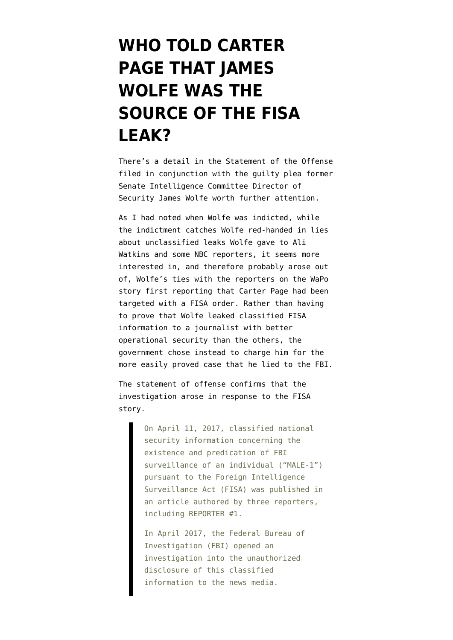## **[WHO TOLD CARTER](https://www.emptywheel.net/2018/10/19/who-told-carter-page-that-james-wolfe-was-the-source-of-the-fisa-leak/) [PAGE THAT JAMES](https://www.emptywheel.net/2018/10/19/who-told-carter-page-that-james-wolfe-was-the-source-of-the-fisa-leak/) [WOLFE WAS THE](https://www.emptywheel.net/2018/10/19/who-told-carter-page-that-james-wolfe-was-the-source-of-the-fisa-leak/) [SOURCE OF THE FISA](https://www.emptywheel.net/2018/10/19/who-told-carter-page-that-james-wolfe-was-the-source-of-the-fisa-leak/) [LEAK?](https://www.emptywheel.net/2018/10/19/who-told-carter-page-that-james-wolfe-was-the-source-of-the-fisa-leak/)**

There's a detail in the [Statement of the Offense](https://www.documentcloud.org/documents/5002633-Statement-of-Offense.html) filed in conjunction with the [guilty plea](https://www.documentcloud.org/documents/5002630-Plea-Agreement.html) former Senate Intelligence Committee Director of Security James Wolfe worth further attention.

As I had [noted](https://www.emptywheel.net/2018/06/08/on-the-james-wolfe-indictment-dont-forget-carter-page/) when Wolfe was indicted, while the [indictment](https://www.justice.gov/usao-dc/press-release/file/1069836/download) catches Wolfe red-handed in lies about unclassified leaks Wolfe gave to Ali Watkins and some [NBC reporters,](https://www.nbcnews.com/politics/congress/senate-subpoenas-former-trump-adviser-carter-page-n811551) it seems more interested in, and therefore probably arose out of, Wolfe's ties with the reporters on [the WaPo](https://www.washingtonpost.com/world/national-security/fbi-obtained-fisa-warrant-to-monitor-former-trump-adviser-carter-page/2017/04/11/620192ea-1e0e-11e7-ad74-3a742a6e93a7_story.html) [story first reporting](https://www.washingtonpost.com/world/national-security/fbi-obtained-fisa-warrant-to-monitor-former-trump-adviser-carter-page/2017/04/11/620192ea-1e0e-11e7-ad74-3a742a6e93a7_story.html) that Carter Page had been targeted with a FISA order. Rather than having to prove that Wolfe leaked classified FISA information to a journalist with better operational security than the others, the government chose instead to charge him for the more easily proved case that he lied to the FBI.

The statement of offense confirms that the investigation arose in response to the FISA story.

> On April 11, 2017, classified national security information concerning the existence and predication of FBI surveillance of an individual ("MALE-1") pursuant to the Foreign Intelligence Surveillance Act (FISA) was published in an article authored by three reporters, including REPORTER #1.

In April 2017, the Federal Bureau of Investigation (FBI) opened an investigation into the unauthorized disclosure of this classified information to the news media.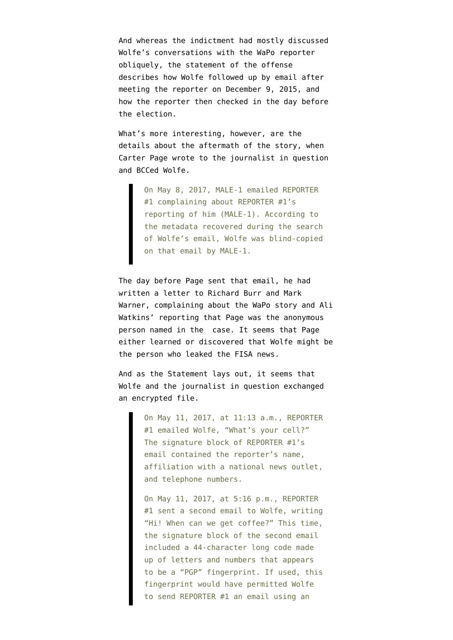And whereas the indictment had mostly discussed Wolfe's conversations with the WaPo reporter obliquely, the statement of the offense describes how Wolfe followed up by email after meeting the reporter on December 9, 2015, and how the reporter then checked in the day before the election.

What's more interesting, however, are the details about the aftermath of the story, when Carter Page wrote to the journalist in question and BCCed Wolfe.

> On May 8, 2017, MALE-1 emailed REPORTER #1 complaining about REPORTER #1's reporting of him (MALE-1). According to the metadata recovered during the search of Wolfe's email, Wolfe was blind-copied on that email by MALE-1.

The day before Page sent that email, he had written a [letter](https://www.scribd.com/document/347666260/Carter-Page-letter-to-Senate-Intel-Committee-May-7-2017) to Richard Burr and Mark Warner, complaining about the WaPo story and Ali Watkins' reporting that Page was the anonymous person named in the case. It seems that Page either learned or discovered that Wolfe might be the person who leaked the FISA news.

And as the Statement lays out, it seems that Wolfe and the journalist in question exchanged an encrypted file.

> On May 11, 2017, at 11:13 a.m., REPORTER #1 emailed Wolfe, "What's your cell?" The signature block of REPORTER #1's email contained the reporter's name, affiliation with a national news outlet, and telephone numbers.

> On May 11, 2017, at 5:16 p.m., REPORTER #1 sent a second email to Wolfe, writing "Hi! When can we get coffee?" This time, the signature block of the second email included a 44-character long code made up of letters and numbers that appears to be a "PGP" fingerprint. If used, this fingerprint would have permitted Wolfe to send REPORTER #1 an email using an